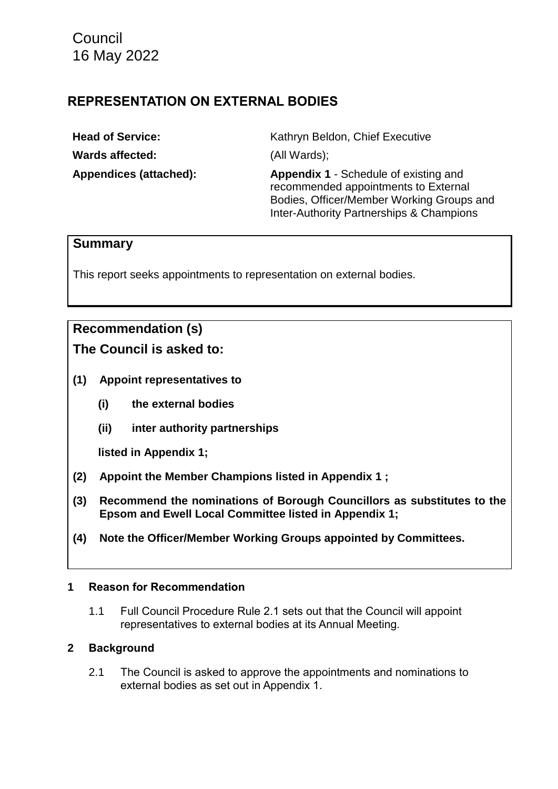**Council** 16 May 2022

## **REPRESENTATION ON EXTERNAL BODIES**

**Wards affected:** (All Wards);

**Head of Service:** Kathryn Beldon, Chief Executive

**Appendices (attached): Appendix 1** - Schedule of existing and recommended appointments to External Bodies, Officer/Member Working Groups and Inter-Authority Partnerships & Champions

## **Summary**

This report seeks appointments to representation on external bodies.

# **Recommendation (s)**

**The Council is asked to:**

- **(1) Appoint representatives to** 
	- **(i) the external bodies**
	- **(ii) inter authority partnerships**

**listed in Appendix 1;**

- **(2) Appoint the Member Champions listed in Appendix 1 ;**
- **(3) Recommend the nominations of Borough Councillors as substitutes to the Epsom and Ewell Local Committee listed in Appendix 1;**
- **(4) Note the Officer/Member Working Groups appointed by Committees.**

## **1 Reason for Recommendation**

1.1 Full Council Procedure Rule 2.1 sets out that the Council will appoint representatives to external bodies at its Annual Meeting.

## **2 Background**

2.1 The Council is asked to approve the appointments and nominations to external bodies as set out in Appendix 1.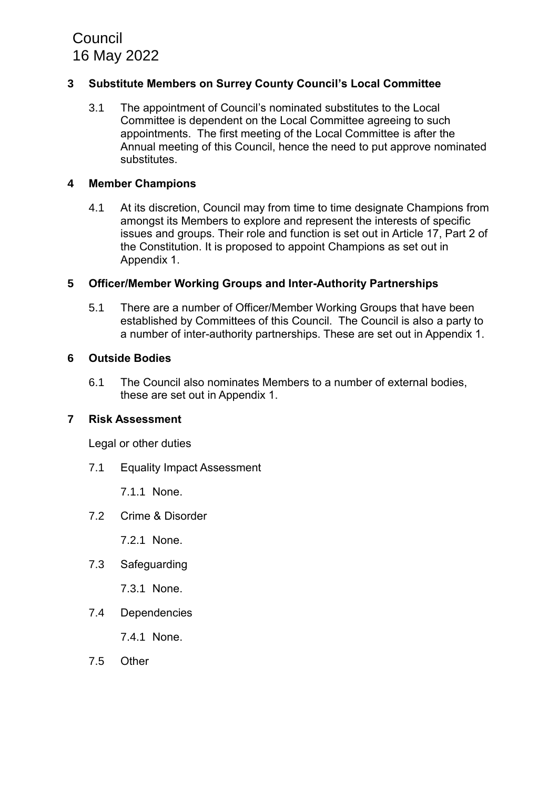# **Council** 16 May 2022

## **3 Substitute Members on Surrey County Council's Local Committee**

3.1 The appointment of Council's nominated substitutes to the Local Committee is dependent on the Local Committee agreeing to such appointments. The first meeting of the Local Committee is after the Annual meeting of this Council, hence the need to put approve nominated substitutes.

#### **4 Member Champions**

4.1 At its discretion, Council may from time to time designate Champions from amongst its Members to explore and represent the interests of specific issues and groups. Their role and function is set out in Article 17, Part 2 of the Constitution. It is proposed to appoint Champions as set out in Appendix 1.

#### **5 Officer/Member Working Groups and Inter-Authority Partnerships**

5.1 There are a number of Officer/Member Working Groups that have been established by Committees of this Council. The Council is also a party to a number of inter-authority partnerships. These are set out in Appendix 1.

#### **6 Outside Bodies**

6.1 The Council also nominates Members to a number of external bodies, these are set out in Appendix 1.

#### **7 Risk Assessment**

Legal or other duties

7.1 Equality Impact Assessment

7.1.1 None.

7.2 Crime & Disorder

7.2.1 None.

7.3 Safeguarding

7.3.1 None.

7.4 Dependencies

7.4.1 None.

7.5 Other